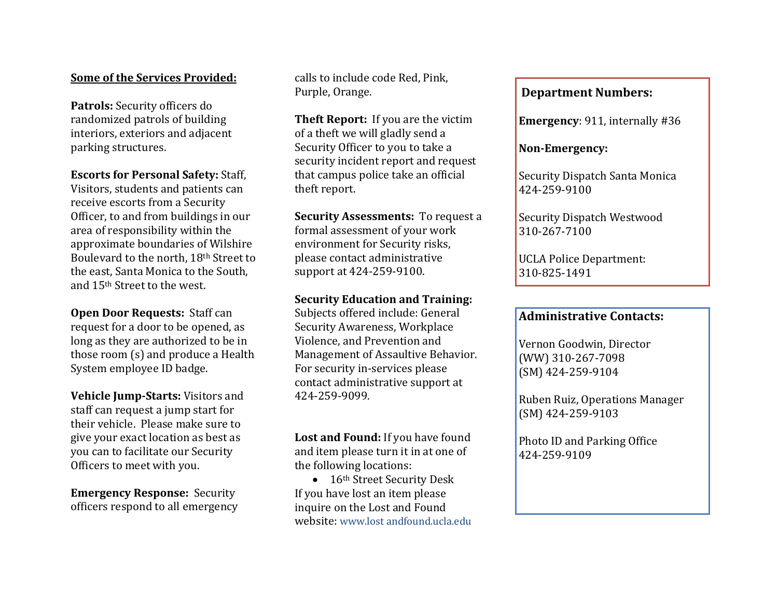## **Some of the Services Provided:**

**Patrols:** Security officers do randomized patrols of building interiors, exteriors and adjacent parking structures.

**Escorts for Personal Safety:** Staff,

Visitors, students and patients can receive escorts from a Security Officer, to and from buildings in our area of responsibility within the approximate boundaries of Wilshire Boulevard to the north, 18th Street to the east, Santa Monica to the South, and 15th Street to the west.

**Open Door Requests:** Staff can request for a door to be opened, as long as they are authorized to be in those room (s) and produce a Health System employee ID badge.

**Vehicle Jump-Starts:** Visitors and staff can request a jump start for their vehicle. Please make sure to give your exact location as best as you can to facilitate our Security Officers to meet with you.

**Emergency Response:** Security officers respond to all emergency calls to include code Red, Pink, Purple, Orange.

**Theft Report:** If you are the victim of a theft we will gladly send a Security Officer to you to take a security incident report and request that campus police take an official theft report.

**Security Assessments:** To request a formal assessment of your work environment for Security risks, please contact administrative support at 424-259-9100.

## **Security Education and Training:**

Subjects offered include: General Security Awareness, Workplace Violence, and Prevention and Management of Assaultive Behavior. For security in-services please contact administrative support at 424-259-9099.

**Lost and Found:** If you have found and item please turn it in at one of the following locations:

• 16<sup>th</sup> Street Security Desk If you have lost an item please inquire on the Lost and Found website: www.lost andfound.ucla.edu

#### j **Department Numbers:**

**Emergency**: 911, internally #36

**Non-Emergency:** 

Security Dispatch Santa Monica 424-259-9100

Security Dispatch Westwood 310-267-7100

UCLA Police Department: 310-825-1491

# **Administrative Contacts:**

Vernon Goodwin, Director (WW) 310-267-7098 (SM) 424-259-9104

Ruben Ruiz, Operations Manager (SM) 424-259-9103

Photo ID and Parking Office 424-259-9109